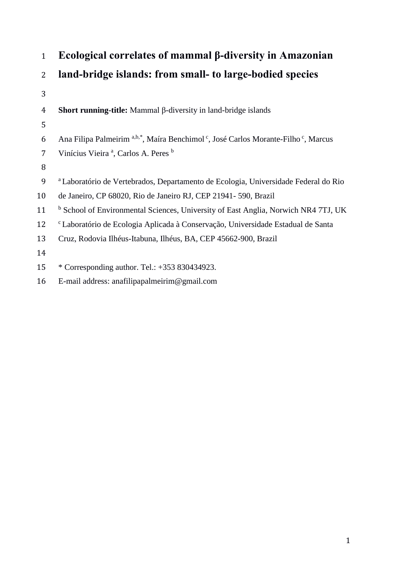| $\mathbf{1}$   | Ecological correlates of mammal β-diversity in Amazonian                                                               |  |  |  |
|----------------|------------------------------------------------------------------------------------------------------------------------|--|--|--|
| $\overline{2}$ | land-bridge islands: from small- to large-bodied species                                                               |  |  |  |
| 3              |                                                                                                                        |  |  |  |
| $\overline{4}$ | <b>Short running-title:</b> Mammal $\beta$ -diversity in land-bridge islands                                           |  |  |  |
| 5              |                                                                                                                        |  |  |  |
| 6              | Ana Filipa Palmeirim <sup>a,b,*</sup> , Maíra Benchimol <sup>c</sup> , José Carlos Morante-Filho <sup>c</sup> , Marcus |  |  |  |
| $\overline{7}$ | Vinícius Vieira <sup>a</sup> , Carlos A. Peres <sup>b</sup>                                                            |  |  |  |
| 8              |                                                                                                                        |  |  |  |
| 9              | a Laboratório de Vertebrados, Departamento de Ecologia, Universidade Federal do Rio                                    |  |  |  |
| 10             | de Janeiro, CP 68020, Rio de Janeiro RJ, CEP 21941-590, Brazil                                                         |  |  |  |
| 11             | <sup>b</sup> School of Environmental Sciences, University of East Anglia, Norwich NR4 7TJ, UK                          |  |  |  |
| 12             | <sup>c</sup> Laboratório de Ecologia Aplicada à Conservação, Universidade Estadual de Santa                            |  |  |  |
| 13             | Cruz, Rodovia Ilhéus-Itabuna, Ilhéus, BA, CEP 45662-900, Brazil                                                        |  |  |  |
| 14             |                                                                                                                        |  |  |  |
| 15             | * Corresponding author. Tel.: +353 830434923.                                                                          |  |  |  |
| 16             | E-mail address: anafilipapalmeirim@gmail.com                                                                           |  |  |  |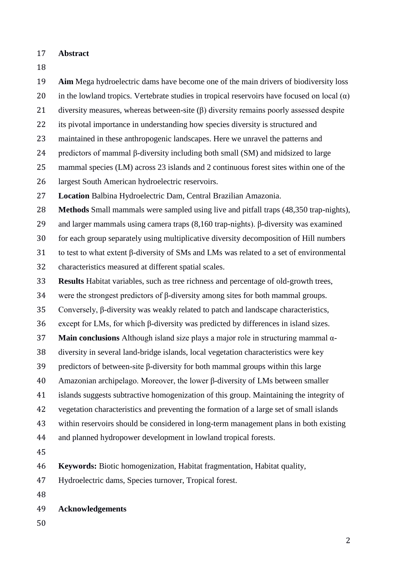- **Abstract**
- 

 **Aim** Mega hydroelectric dams have become one of the main drivers of biodiversity loss 20 in the lowland tropics. Vertebrate studies in tropical reservoirs have focused on local  $(\alpha)$  diversity measures, whereas between-site (β) diversity remains poorly assessed despite its pivotal importance in understanding how species diversity is structured and maintained in these anthropogenic landscapes. Here we unravel the patterns and predictors of mammal β-diversity including both small (SM) and midsized to large mammal species (LM) across 23 islands and 2 continuous forest sites within one of the largest South American hydroelectric reservoirs. **Location** Balbina Hydroelectric Dam, Central Brazilian Amazonia. **Methods** Small mammals were sampled using live and pitfall traps (48,350 trap-nights), and larger mammals using camera traps (8,160 trap-nights). β-diversity was examined for each group separately using multiplicative diversity decomposition of Hill numbers to test to what extent β-diversity of SMs and LMs was related to a set of environmental characteristics measured at different spatial scales. **Results** Habitat variables, such as tree richness and percentage of old-growth trees, were the strongest predictors of β-diversity among sites for both mammal groups. Conversely, β-diversity was weakly related to patch and landscape characteristics, except for LMs, for which β-diversity was predicted by differences in island sizes. **Main conclusions** Although island size plays a major role in structuring mammal α- diversity in several land-bridge islands, local vegetation characteristics were key predictors of between-site β-diversity for both mammal groups within this large Amazonian archipelago. Moreover, the lower β-diversity of LMs between smaller islands suggests subtractive homogenization of this group. Maintaining the integrity of vegetation characteristics and preventing the formation of a large set of small islands within reservoirs should be considered in long-term management plans in both existing and planned hydropower development in lowland tropical forests. **Keywords:** Biotic homogenization, Habitat fragmentation, Habitat quality, Hydroelectric dams, Species turnover, Tropical forest. **Acknowledgements**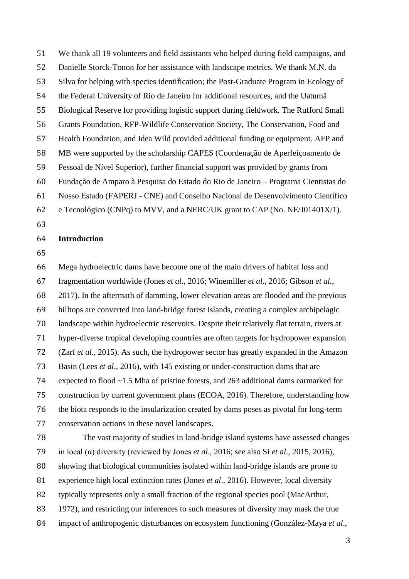We thank all 19 volunteers and field assistants who helped during field campaigns, and Danielle Storck-Tonon for her assistance with landscape metrics. We thank M.N. da Silva for helping with species identification; the Post-Graduate Program in Ecology of the Federal University of Rio de Janeiro for additional resources, and the Uatumã Biological Reserve for providing logistic support during fieldwork. The Rufford Small Grants Foundation, RFP-Wildlife Conservation Society, The Conservation, Food and Health Foundation, and Idea Wild provided additional funding or equipment. AFP and MB were supported by the scholarship CAPES (Coordenação de Aperfeiçoamento de Pessoal de Nível Superior), further financial support was provided by grants from Fundação de Amparo à Pesquisa do Estado do Rio de Janeiro – Programa Cientistas do Nosso Estado (FAPERJ - CNE) and Conselho Nacional de Desenvolvimento Científico

- e Tecnológico (CNPq) to MVV, and a NERC/UK grant to CAP (No. NE/J01401X/1).
- 

# **Introduction**

 Mega hydroelectric dams have become one of the main drivers of habitat loss and fragmentation worldwide (Jones *et al*., 2016; Winemiller *et al*., 2016; Gibson *et al.*, 2017). In the aftermath of damming, lower elevation areas are flooded and the previous hilltops are converted into land-bridge forest islands, creating a complex archipelagic landscape within hydroelectric reservoirs. Despite their relatively flat terrain, rivers at hyper-diverse tropical developing countries are often targets for hydropower expansion (Zarf *et al*., 2015). As such, the hydropower sector has greatly expanded in the Amazon Basin (Lees *et al*., 2016), with 145 existing or under-construction dams that are expected to flood ~1.5 Mha of pristine forests, and 263 additional dams earmarked for construction by current government plans (ECOA, 2016). Therefore, understanding how the biota responds to the insularization created by dams poses as pivotal for long-term conservation actions in these novel landscapes.

 The vast majority of studies in land-bridge island systems have assessed changes in local (α) diversity (reviewed by Jones *et al*., 2016; see also Si *et al*., 2015, 2016), showing that biological communities isolated within land-bridge islands are prone to experience high local extinction rates (Jones *et al*., 2016). However, local diversity typically represents only a small fraction of the regional species pool (MacArthur, 1972), and restricting our inferences to such measures of diversity may mask the true impact of anthropogenic disturbances on ecosystem functioning (González-Maya *et al*.,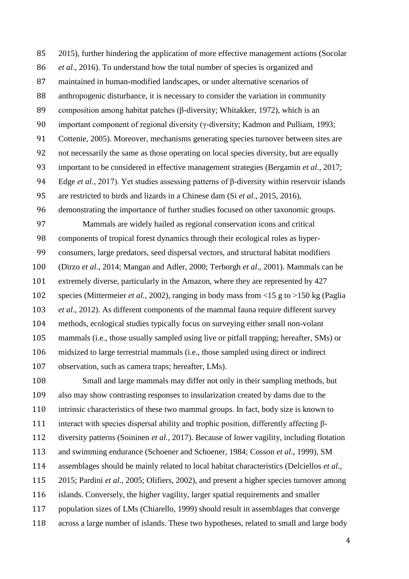2015), further hindering the application of more effective management actions (Socolar *et al*., 2016). To understand how the total number of species is organized and maintained in human-modified landscapes, or under alternative scenarios of anthropogenic disturbance, it is necessary to consider the variation in community composition among habitat patches (β-diversity; Whitakker, 1972), which is an important component of regional diversity (γ-diversity; Kadmon and Pulliam, 1993; Cottenie, 2005). Moreover, mechanisms generating species turnover between sites are not necessarily the same as those operating on local species diversity, but are equally important to be considered in effective management strategies (Bergamin *et al.*, 2017; Edge *et al.*, 2017). Yet studies assessing patterns of β-diversity within reservoir islands are restricted to birds and lizards in a Chinese dam (Si *et al*., 2015, 2016),

demonstrating the importance of further studies focused on other taxonomic groups.

 Mammals are widely hailed as regional conservation icons and critical components of tropical forest dynamics through their ecological roles as hyper- consumers, large predators, seed dispersal vectors, and structural habitat modifiers (Dirzo *et al*., 2014; Mangan and Adler, 2000; Terborgh *et al*., 2001). Mammals can be extremely diverse, particularly in the Amazon, where they are represented by 427 species (Mittermeier *et al.*, 2002), ranging in body mass from <15 g to >150 kg (Paglia *et al*., 2012). As different components of the mammal fauna require different survey methods, ecological studies typically focus on surveying either small non-volant mammals (i.e., those usually sampled using live or pitfall trapping; hereafter, SMs) or midsized to large terrestrial mammals (i.e., those sampled using direct or indirect observation, such as camera traps; hereafter, LMs).

 Small and large mammals may differ not only in their sampling methods, but also may show contrasting responses to insularization created by dams due to the intrinsic characteristics of these two mammal groups. In fact, body size is known to interact with species dispersal ability and trophic position, differently affecting β- diversity patterns (Soininen *et al.*, 2017). Because of lower vagility, including flotation and swimming endurance (Schoener and Schoener, 1984; Cosson *et al.*, 1999), SM assemblages should be mainly related to local habitat characteristics (Delciellos *et al*., 2015; Pardini *et al.*, 2005; Olifiers, 2002), and present a higher species turnover among islands. Conversely, the higher vagility, larger spatial requirements and smaller population sizes of LMs (Chiarello, 1999) should result in assemblages that converge across a large number of islands. These two hypotheses, related to small and large body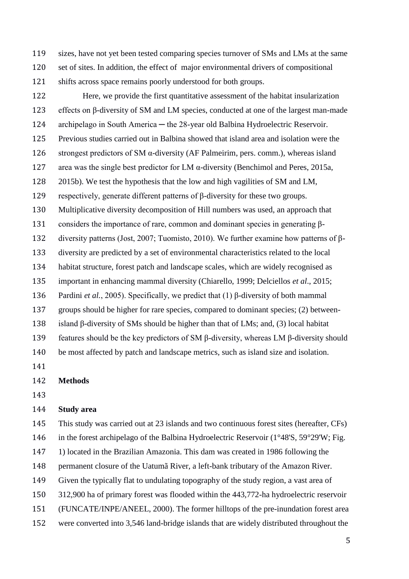sizes, have not yet been tested comparing species turnover of SMs and LMs at the same set of sites. In addition, the effect of major environmental drivers of compositional shifts across space remains poorly understood for both groups.

 Here, we provide the first quantitative assessment of the habitat insularization effects on β-diversity of SM and LM species, conducted at one of the largest man-made 124 archipelago in South America — the 28-year old Balbina Hydroelectric Reservoir. Previous studies carried out in Balbina showed that island area and isolation were the 126 strongest predictors of SM  $\alpha$ -diversity (AF Palmeirim, pers. comm.), whereas island 127 area was the single best predictor for LM  $\alpha$ -diversity (Benchimol and Peres, 2015a, 2015b). We test the hypothesis that the low and high vagilities of SM and LM, 129 respectively, generate different patterns of  $\beta$ -diversity for these two groups. Multiplicative diversity decomposition of Hill numbers was used, an approach that considers the importance of rare, common and dominant species in generating β- diversity patterns (Jost, 2007; Tuomisto, 2010). We further examine how patterns of β- diversity are predicted by a set of environmental characteristics related to the local habitat structure, forest patch and landscape scales, which are widely recognised as important in enhancing mammal diversity (Chiarello, 1999; Delciellos *et al*., 2015; Pardini *et al.*, 2005). Specifically, we predict that (1) β-diversity of both mammal groups should be higher for rare species, compared to dominant species; (2) between- island β-diversity of SMs should be higher than that of LMs; and, (3) local habitat features should be the key predictors of SM β-diversity, whereas LM β-diversity should be most affected by patch and landscape metrics, such as island size and isolation.

**Methods**

## **Study area**

 This study was carried out at 23 islands and two continuous forest sites (hereafter, CFs) in the forest archipelago of the Balbina Hydroelectric Reservoir (1°48'S, 59°29'W; Fig. 1) located in the Brazilian Amazonia. This dam was created in 1986 following the permanent closure of the Uatumã River, a left-bank tributary of the Amazon River.

- Given the typically flat to undulating topography of the study region, a vast area of
- 312,900 ha of primary forest was flooded within the 443,772-ha hydroelectric reservoir
- (FUNCATE/INPE/ANEEL, 2000). The former hilltops of the pre-inundation forest area
- were converted into 3,546 land-bridge islands that are widely distributed throughout the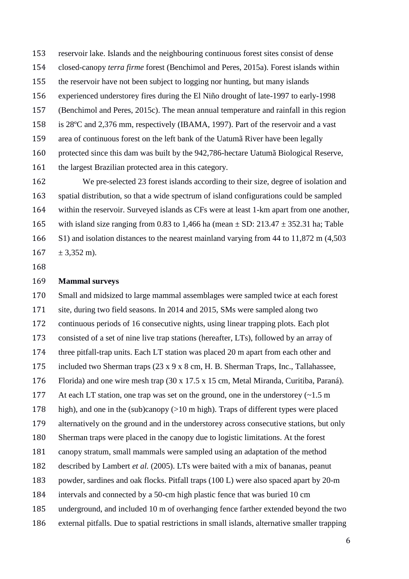reservoir lake. Islands and the neighbouring continuous forest sites consist of dense closed-canopy *terra firme* forest (Benchimol and Peres, 2015a). Forest islands within the reservoir have not been subject to logging nor hunting, but many islands experienced understorey fires during the El Niño drought of late-1997 to early-1998 (Benchimol and Peres, 2015c). The mean annual temperature and rainfall in this region is 28ºC and 2,376 mm, respectively (IBAMA, 1997). Part of the reservoir and a vast area of continuous forest on the left bank of the Uatumã River have been legally protected since this dam was built by the 942,786-hectare Uatumã Biological Reserve, the largest Brazilian protected area in this category.

 We pre-selected 23 forest islands according to their size, degree of isolation and spatial distribution, so that a wide spectrum of island configurations could be sampled within the reservoir. Surveyed islands as CFs were at least 1-km apart from one another, 165 with island size ranging from 0.83 to 1,466 ha (mean  $\pm$  SD: 213.47  $\pm$  352.31 ha; Table S1) and isolation distances to the nearest mainland varying from 44 to 11,872 m (4,503  $167 + 3.352$  m).

### **Mammal surveys**

 Small and midsized to large mammal assemblages were sampled twice at each forest site, during two field seasons. In 2014 and 2015, SMs were sampled along two continuous periods of 16 consecutive nights, using linear trapping plots. Each plot consisted of a set of nine live trap stations (hereafter, LTs), followed by an array of three pitfall-trap units. Each LT station was placed 20 m apart from each other and included two Sherman traps (23 x 9 x 8 cm, H. B. Sherman Traps, Inc., Tallahassee, Florida) and one wire mesh trap (30 x 17.5 x 15 cm, Metal Miranda, Curitiba, Paraná). 177 At each LT station, one trap was set on the ground, one in the understorey  $(\sim 1.5 \text{ m})$  high), and one in the (sub)canopy (>10 m high). Traps of different types were placed alternatively on the ground and in the understorey across consecutive stations, but only Sherman traps were placed in the canopy due to logistic limitations. At the forest canopy stratum, small mammals were sampled using an adaptation of the method described by Lambert *et al.* (2005). LTs were baited with a mix of bananas, peanut powder, sardines and oak flocks. Pitfall traps (100 L) were also spaced apart by 20-m intervals and connected by a 50-cm high plastic fence that was buried 10 cm underground, and included 10 m of overhanging fence farther extended beyond the two external pitfalls. Due to spatial restrictions in small islands, alternative smaller trapping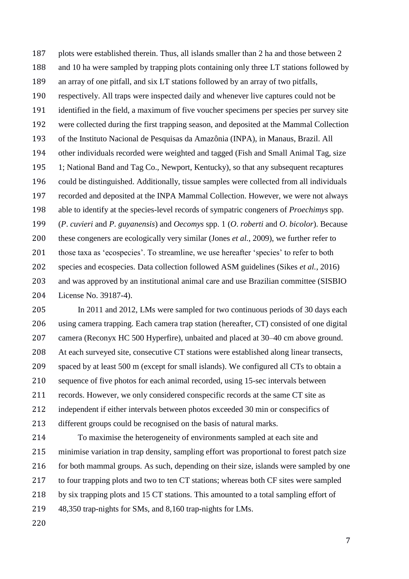plots were established therein. Thus, all islands smaller than 2 ha and those between 2 and 10 ha were sampled by trapping plots containing only three LT stations followed by an array of one pitfall, and six LT stations followed by an array of two pitfalls, respectively. All traps were inspected daily and whenever live captures could not be identified in the field, a maximum of five voucher specimens per species per survey site were collected during the first trapping season, and deposited at the Mammal Collection of the Instituto Nacional de Pesquisas da Amazônia (INPA), in Manaus, Brazil. All other individuals recorded were weighted and tagged (Fish and Small Animal Tag, size 1; National Band and Tag Co., Newport, Kentucky), so that any subsequent recaptures could be distinguished. Additionally, tissue samples were collected from all individuals recorded and deposited at the INPA Mammal Collection. However, we were not always able to identify at the species-level records of sympatric congeners of *Proechimys* spp. (*P*. *cuvieri* and *P*. *guyanensis*) and *Oecomys* spp. 1 (*O*. *roberti* and *O*. *bicolor*). Because these congeners are ecologically very similar (Jones *et al.*, 2009), we further refer to 201 those taxa as 'ecospecies'. To streamline, we use hereafter 'species' to refer to both species and ecospecies. Data collection followed ASM guidelines (Sikes *et al.*, 2016) and was approved by an institutional animal care and use Brazilian committee (SISBIO License No. 39187-4).

 In 2011 and 2012, LMs were sampled for two continuous periods of 30 days each using camera trapping. Each camera trap station (hereafter, CT) consisted of one digital camera (Reconyx HC 500 Hyperfire), unbaited and placed at 30–40 cm above ground. At each surveyed site, consecutive CT stations were established along linear transects, spaced by at least 500 m (except for small islands). We configured all CTs to obtain a sequence of five photos for each animal recorded, using 15-sec intervals between records. However, we only considered conspecific records at the same CT site as independent if either intervals between photos exceeded 30 min or conspecifics of different groups could be recognised on the basis of natural marks.

 To maximise the heterogeneity of environments sampled at each site and minimise variation in trap density, sampling effort was proportional to forest patch size 216 for both mammal groups. As such, depending on their size, islands were sampled by one to four trapping plots and two to ten CT stations; whereas both CF sites were sampled by six trapping plots and 15 CT stations. This amounted to a total sampling effort of 48,350 trap-nights for SMs, and 8,160 trap-nights for LMs.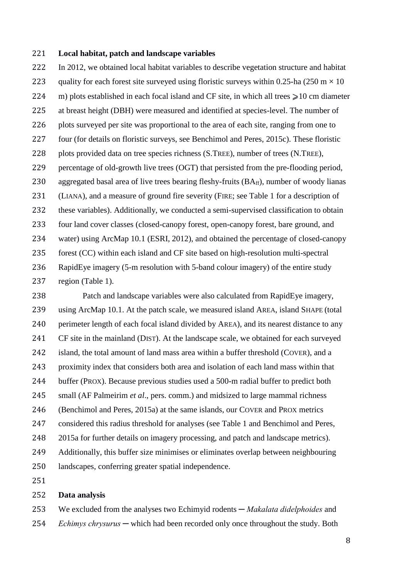## **Local habitat, patch and landscape variables**

 In 2012, we obtained local habitat variables to describe vegetation structure and habitat 223 quality for each forest site surveyed using floristic surveys within 0.25-ha (250 m  $\times$  10 224 m) plots established in each focal island and CF site, in which all trees  $\geq 10$  cm diameter at breast height (DBH) were measured and identified at species-level. The number of plots surveyed per site was proportional to the area of each site, ranging from one to four (for details on floristic surveys, see Benchimol and Peres, 2015c). These floristic plots provided data on tree species richness (S.TREE), number of trees (N.TREE), percentage of old-growth live trees (OGT) that persisted from the pre-flooding period, 230 aggregated basal area of live trees bearing fleshy-fruits  $(BA<sub>ff</sub>)$ , number of woody lianas (LIANA), and a measure of ground fire severity (FIRE; see Table 1 for a description of these variables). Additionally, we conducted a semi-supervised classification to obtain four land cover classes (closed-canopy forest, open-canopy forest, bare ground, and water) using ArcMap 10.1 (ESRI, 2012), and obtained the percentage of closed-canopy forest (CC) within each island and CF site based on high-resolution multi-spectral RapidEye imagery (5-m resolution with 5-band colour imagery) of the entire study region (Table 1).

 Patch and landscape variables were also calculated from RapidEye imagery, using ArcMap 10.1. At the patch scale, we measured island AREA, island SHAPE (total perimeter length of each focal island divided by AREA), and its nearest distance to any CF site in the mainland (DIST). At the landscape scale, we obtained for each surveyed island, the total amount of land mass area within a buffer threshold (COVER), and a proximity index that considers both area and isolation of each land mass within that buffer (PROX). Because previous studies used a 500-m radial buffer to predict both small (AF Palmeirim *et al*., pers. comm.) and midsized to large mammal richness (Benchimol and Peres, 2015a) at the same islands, our COVER and PROX metrics considered this radius threshold for analyses (see Table 1 and Benchimol and Peres, 2015a for further details on imagery processing, and patch and landscape metrics). Additionally, this buffer size minimises or eliminates overlap between neighbouring landscapes, conferring greater spatial independence.

## **Data analysis**

 We excluded from the analyses two Echimyid rodents *─ Makalata didelphoides* and *Echimys chrysurus ─* which had been recorded only once throughout the study. Both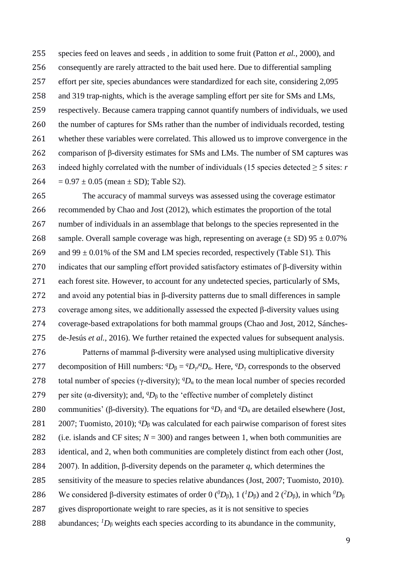species feed on leaves and seeds , in addition to some fruit (Patton *et al.*, 2000), and consequently are rarely attracted to the bait used here. Due to differential sampling effort per site, species abundances were standardized for each site, considering 2,095 and 319 trap-nights, which is the average sampling effort per site for SMs and LMs, respectively. Because camera trapping cannot quantify numbers of individuals, we used the number of captures for SMs rather than the number of individuals recorded, testing whether these variables were correlated. This allowed us to improve convergence in the comparison of β-diversity estimates for SMs and LMs. The number of SM captures was 263 indeed highly correlated with the number of individuals (15 species detected  $\geq$  5 sites: *r*  $264 = 0.97 \pm 0.05$  (mean  $\pm$  SD); Table S2).

 The accuracy of mammal surveys was assessed using the coverage estimator recommended by Chao and Jost (2012), which estimates the proportion of the total number of individuals in an assemblage that belongs to the species represented in the 268 sample. Overall sample coverage was high, representing on average  $(\pm SD)$  95  $\pm 0.07\%$ 269 and 99  $\pm$  0.01% of the SM and LM species recorded, respectively (Table S1). This indicates that our sampling effort provided satisfactory estimates of β-diversity within each forest site. However, to account for any undetected species, particularly of SMs, and avoid any potential bias in β-diversity patterns due to small differences in sample coverage among sites, we additionally assessed the expected β-diversity values using coverage-based extrapolations for both mammal groups (Chao and Jost, 2012, Sánches-de-Jesús *et al.*, 2016). We further retained the expected values for subsequent analysis.

 Patterns of mammal β-diversity were analysed using multiplicative diversity 277 decomposition of Hill numbers:  ${}^qD_\beta = {}^qD_\gamma / {}^qD_\alpha$ . Here,  ${}^qD_\gamma$  corresponds to the observed 278 total number of species ( $\gamma$ -diversity);  ${}^qD_\alpha$  to the mean local number of species recorded 279 per site ( $\alpha$ -diversity); and,  ${}^qD_\beta$  to the 'effective number of completely distinct 280 communities' (β-diversity). The equations for  ${}^qD_\gamma$  and  ${}^qD_\alpha$  are detailed elsewhere (Jost, 2007; Tuomisto, 2010); <sup>*q*</sup>D<sub>β</sub> was calculated for each pairwise comparison of forest sites 282 (i.e. islands and CF sites;  $N = 300$ ) and ranges between 1, when both communities are identical, and 2, when both communities are completely distinct from each other (Jost, 2007). In addition, β-diversity depends on the parameter *q*, which determines the sensitivity of the measure to species relative abundances (Jost, 2007; Tuomisto, 2010). 286 We considered β-diversity estimates of order 0  $(^{0}D_8)$ , 1  $(^{1}D_8)$  and 2  $(^{2}D_8)$ , in which  $^0D_8$  gives disproportionate weight to rare species, as it is not sensitive to species 288 abundances;  ${}^{1}D_8$  weights each species according to its abundance in the community,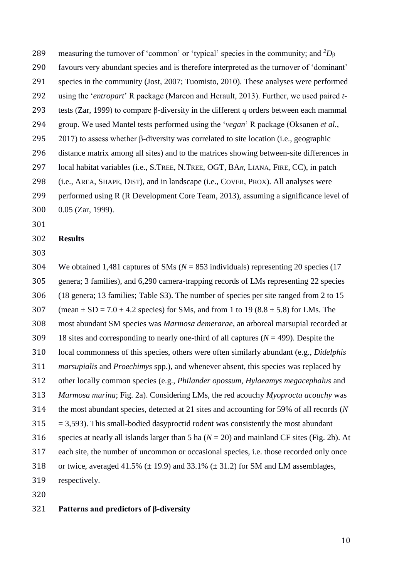measuring the turnover of 'common' or 'typical' species in the community; and  ${}^{2}D_{\beta}$  favours very abundant species and is therefore interpreted as the turnover of 'dominant' species in the community (Jost, 2007; Tuomisto, 2010). These analyses were performed using the '*entropart*' R package (Marcon and Herault, 2013). Further, we used paired *t*- tests (Zar, 1999) to compare β-diversity in the different *q* orders between each mammal group. We used Mantel tests performed using the '*vegan*' R package (Oksanen *et al.*, 2017) to assess whether β-diversity was correlated to site location (i.e., geographic distance matrix among all sites) and to the matrices showing between-site differences in local habitat variables (i.e., S.TREE, N.TREE, OGT, BAff, LIANA, FIRE, CC), in patch (i.e., AREA, SHAPE, DIST), and in landscape (i.e., COVER, PROX). All analyses were performed using R (R Development Core Team, 2013), assuming a significance level of 0.05 (Zar, 1999).

**Results**

 We obtained 1,481 captures of SMs (*N* = 853 individuals) representing 20 species (17 genera; 3 families), and 6,290 camera-trapping records of LMs representing 22 species (18 genera; 13 families; Table S3). The number of species per site ranged from 2 to 15 307 (mean  $\pm$  SD = 7.0  $\pm$  4.2 species) for SMs, and from 1 to 19 (8.8  $\pm$  5.8) for LMs. The most abundant SM species was *Marmosa demerarae*, an arboreal marsupial recorded at 18 sites and corresponding to nearly one-third of all captures (*N* = 499). Despite the local commonness of this species, others were often similarly abundant (e.g., *Didelphis marsupialis* and *Proechimys* spp.), and whenever absent, this species was replaced by other locally common species (e.g., *Philander opossum*, *Hylaeamys megacephalus* and *Marmosa murina*; Fig. 2a). Considering LMs, the red acouchy *Myoprocta acouchy* was the most abundant species, detected at 21 sites and accounting for 59% of all records (*N*  $315 = 3,593$ . This small-bodied dasyproctid rodent was consistently the most abundant species at nearly all islands larger than 5 ha (*N* = 20) and mainland CF sites (Fig. 2b). At each site, the number of uncommon or occasional species, i.e. those recorded only once 318 or twice, averaged 41.5%  $(\pm 19.9)$  and 33.1%  $(\pm 31.2)$  for SM and LM assemblages, respectively.

# **Patterns and predictors of β-diversity**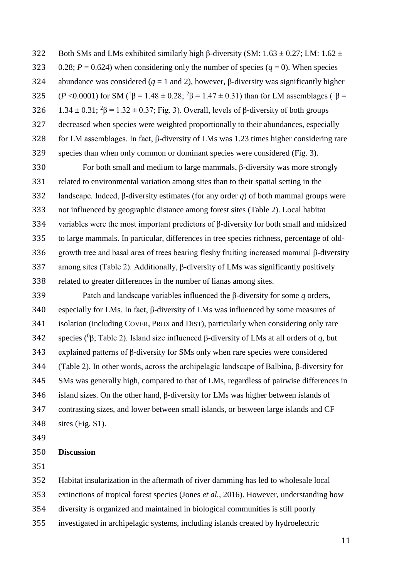322 Both SMs and LMs exhibited similarly high β-diversity (SM:  $1.63 \pm 0.27$ ; LM:  $1.62 \pm 0.27$ 323 0.28;  $P = 0.624$ ) when considering only the number of species ( $q = 0$ ). When species 324 abundance was considered ( $q = 1$  and 2), however, β-diversity was significantly higher  $($ *P* <0.0001) for SM (<sup>1</sup> $\beta$  = 1.48 ± 0.28; <sup>2</sup> $\beta$  = 1.47 ± 0.31) than for LM assemblages (<sup>1</sup> $\beta$  = 326  $1.34 \pm 0.31$ ;  ${}^{2}\beta = 1.32 \pm 0.37$ ; Fig. 3). Overall, levels of β-diversity of both groups decreased when species were weighted proportionally to their abundances, especially for LM assemblages. In fact, β-diversity of LMs was 1.23 times higher considering rare species than when only common or dominant species were considered (Fig. 3).

 For both small and medium to large mammals, β-diversity was more strongly related to environmental variation among sites than to their spatial setting in the landscape. Indeed, β-diversity estimates (for any order *q*) of both mammal groups were not influenced by geographic distance among forest sites (Table 2). Local habitat variables were the most important predictors of β-diversity for both small and midsized to large mammals. In particular, differences in tree species richness, percentage of old- growth tree and basal area of trees bearing fleshy fruiting increased mammal β-diversity among sites (Table 2). Additionally, β-diversity of LMs was significantly positively related to greater differences in the number of lianas among sites.

 Patch and landscape variables influenced the β-diversity for some *q* orders, especially for LMs. In fact, β-diversity of LMs was influenced by some measures of isolation (including COVER, PROX and DIST), particularly when considering only rare 342 species (<sup>0</sup>β; Table 2). Island size influenced β-diversity of LMs at all orders of *q*, but explained patterns of β-diversity for SMs only when rare species were considered (Table 2). In other words, across the archipelagic landscape of Balbina, β-diversity for SMs was generally high, compared to that of LMs, regardless of pairwise differences in island sizes. On the other hand, β-diversity for LMs was higher between islands of contrasting sizes, and lower between small islands, or between large islands and CF sites (Fig. S1).

#### **Discussion**

- Habitat insularization in the aftermath of river damming has led to wholesale local
- extinctions of tropical forest species (Jones *et al.*, 2016). However, understanding how
- diversity is organized and maintained in biological communities is still poorly
- investigated in archipelagic systems, including islands created by hydroelectric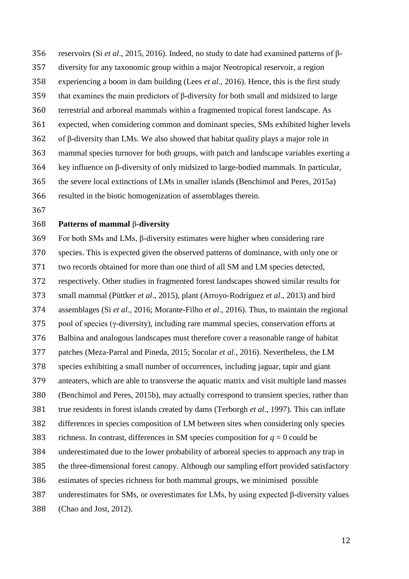reservoirs (Si *et al*., 2015, 2016). Indeed, no study to date had examined patterns of β- diversity for any taxonomic group within a major Neotropical reservoir, a region experiencing a boom in dam building (Lees *et al*., 2016). Hence, this is the first study that examines the main predictors of β-diversity for both small and midsized to large terrestrial and arboreal mammals within a fragmented tropical forest landscape. As expected, when considering common and dominant species, SMs exhibited higher levels of β-diversity than LMs. We also showed that habitat quality plays a major role in mammal species turnover for both groups, with patch and landscape variables exerting a key influence on β-diversity of only midsized to large-bodied mammals. In particular, the severe local extinctions of LMs in smaller islands (Benchimol and Peres, 2015a)

resulted in the biotic homogenization of assemblages therein.

# **Patterns of mammal** β-**diversity**

 For both SMs and LMs, β-diversity estimates were higher when considering rare species. This is expected given the observed patterns of dominance, with only one or two records obtained for more than one third of all SM and LM species detected, respectively. Other studies in fragmented forest landscapes showed similar results for small mammal (Püttker *et al*., 2015), plant (Arroyo-Rodríguez *et al*., 2013) and bird assemblages (Si *et al.,* 2016; Morante-Filho *et al*., 2016). Thus, to maintain the regional pool of species (γ-diversity), including rare mammal species, conservation efforts at Balbina and analogous landscapes must therefore cover a reasonable range of habitat patches (Meza-Parral and Pineda, 2015; Socolar *et al.*, 2016). Nevertheless, the LM species exhibiting a small number of occurrences, including jaguar, tapir and giant anteaters, which are able to transverse the aquatic matrix and visit multiple land masses (Benchimol and Peres, 2015b), may actually correspond to transient species, rather than true residents in forest islands created by dams (Terborgh *et al*., 1997). This can inflate differences in species composition of LM between sites when considering only species 383 richness. In contrast, differences in SM species composition for  $q = 0$  could be underestimated due to the lower probability of arboreal species to approach any trap in the three-dimensional forest canopy. Although our sampling effort provided satisfactory estimates of species richness for both mammal groups, we minimised possible underestimates for SMs, or overestimates for LMs, by using expected β-diversity values (Chao and Jost, 2012).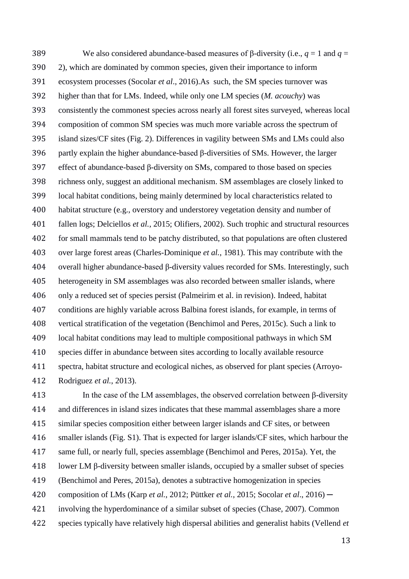We also considered abundance-based measures of β-diversity (i.e., *q* = 1 and *q* = 2), which are dominated by common species, given their importance to inform ecosystem processes (Socolar *et al*., 2016).As such, the SM species turnover was higher than that for LMs. Indeed, while only one LM species (*M. acouchy*) was consistently the commonest species across nearly all forest sites surveyed, whereas local composition of common SM species was much more variable across the spectrum of island sizes/CF sites (Fig. 2). Differences in vagility between SMs and LMs could also partly explain the higher abundance-based β-diversities of SMs. However, the larger effect of abundance-based β-diversity on SMs, compared to those based on species richness only, suggest an additional mechanism. SM assemblages are closely linked to local habitat conditions, being mainly determined by local characteristics related to habitat structure (e.g., overstory and understorey vegetation density and number of fallen logs; Delciellos *et al.*, 2015; Olifiers, 2002). Such trophic and structural resources for small mammals tend to be patchy distributed, so that populations are often clustered over large forest areas (Charles-Dominique *et al.*, 1981). This may contribute with the overall higher abundance-based β-diversity values recorded for SMs. Interestingly, such heterogeneity in SM assemblages was also recorded between smaller islands, where only a reduced set of species persist (Palmeirim et al. in revision). Indeed, habitat conditions are highly variable across Balbina forest islands, for example, in terms of vertical stratification of the vegetation (Benchimol and Peres, 2015c). Such a link to local habitat conditions may lead to multiple compositional pathways in which SM species differ in abundance between sites according to locally available resource spectra, habitat structure and ecological niches, as observed for plant species (Arroyo-Rodriguez *et al.*, 2013).

413 In the case of the LM assemblages, the observed correlation between  $\beta$ -diversity and differences in island sizes indicates that these mammal assemblages share a more similar species composition either between larger islands and CF sites, or between smaller islands (Fig. S1). That is expected for larger islands/CF sites, which harbour the same full, or nearly full, species assemblage (Benchimol and Peres, 2015a). Yet, the lower LM β-diversity between smaller islands, occupied by a smaller subset of species (Benchimol and Peres, 2015a), denotes a subtractive homogenization in species composition of LMs (Karp *et al.*, 2012; Püttker *et al.*, 2015; Socolar *et al*., 2016) ─ involving the hyperdominance of a similar subset of species (Chase, 2007). Common species typically have relatively high dispersal abilities and generalist habits (Vellend *et*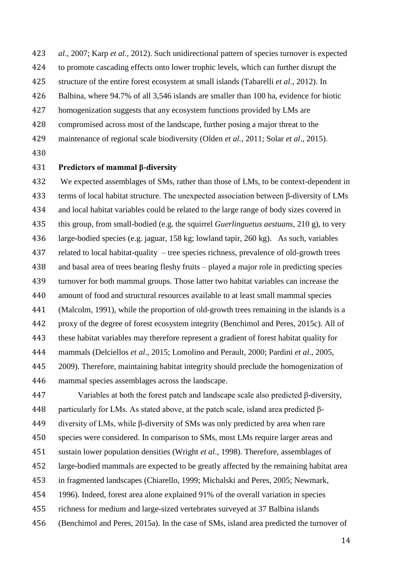*al.*, 2007; Karp *et al.*, 2012). Such unidirectional pattern of species turnover is expected to promote cascading effects onto lower trophic levels, which can further disrupt the structure of the entire forest ecosystem at small islands (Tabarelli *et al*., 2012). In Balbina, where 94.7% of all 3,546 islands are smaller than 100 ha, evidence for biotic homogenization suggests that any ecosystem functions provided by LMs are

- compromised across most of the landscape, further posing a major threat to the
- maintenance of regional scale biodiversity (Olden *et al.*, 2011; Solar *et al*., 2015).
- 

# **Predictors of mammal β-diversity**

 We expected assemblages of SMs, rather than those of LMs, to be context-dependent in terms of local habitat structure. The unexpected association between β-diversity of LMs and local habitat variables could be related to the large range of body sizes covered in this group, from small-bodied (e.g. the squirrel *Guerlinguetus aestuans*, 210 g), to very large-bodied species (e.g. jaguar, 158 kg; lowland tapir, 260 kg). As such, variables related to local habitat-quality – tree species richness, prevalence of old-growth trees and basal area of trees bearing fleshy fruits – played a major role in predicting species turnover for both mammal groups. Those latter two habitat variables can increase the amount of food and structural resources available to at least small mammal species (Malcolm, 1991), while the proportion of old-growth trees remaining in the islands is a proxy of the degree of forest ecosystem integrity (Benchimol and Peres, 2015c). All of these habitat variables may therefore represent a gradient of forest habitat quality for mammals (Delciellos *et al*., 2015; Lomolino and Perault, 2000; Pardini *et al*., 2005, 2009). Therefore, maintaining habitat integrity should preclude the homogenization of mammal species assemblages across the landscape.

 Variables at both the forest patch and landscape scale also predicted β-diversity, 448 particularly for LMs. As stated above, at the patch scale, island area predicted  $\beta$ - diversity of LMs, while β-diversity of SMs was only predicted by area when rare species were considered. In comparison to SMs, most LMs require larger areas and sustain lower population densities (Wright *et al*., 1998). Therefore, assemblages of large-bodied mammals are expected to be greatly affected by the remaining habitat area in fragmented landscapes (Chiarello, 1999; Michalski and Peres, 2005; Newmark, 1996). Indeed, forest area alone explained 91% of the overall variation in species richness for medium and large-sized vertebrates surveyed at 37 Balbina islands (Benchimol and Peres, 2015a). In the case of SMs, island area predicted the turnover of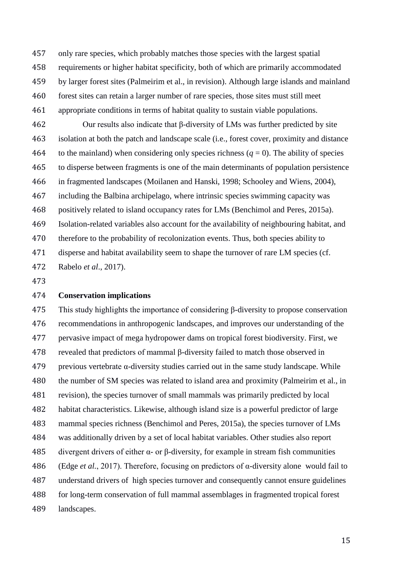only rare species, which probably matches those species with the largest spatial requirements or higher habitat specificity, both of which are primarily accommodated by larger forest sites (Palmeirim et al., in revision). Although large islands and mainland forest sites can retain a larger number of rare species, those sites must still meet

appropriate conditions in terms of habitat quality to sustain viable populations.

 Our results also indicate that β-diversity of LMs was further predicted by site isolation at both the patch and landscape scale (i.e., forest cover, proximity and distance 464 to the mainland) when considering only species richness  $(q = 0)$ . The ability of species to disperse between fragments is one of the main determinants of population persistence in fragmented landscapes (Moilanen and Hanski, 1998; Schooley and Wiens, 2004), including the Balbina archipelago, where intrinsic species swimming capacity was positively related to island occupancy rates for LMs (Benchimol and Peres, 2015a). Isolation-related variables also account for the availability of neighbouring habitat, and therefore to the probability of recolonization events. Thus, both species ability to disperse and habitat availability seem to shape the turnover of rare LM species (cf. Rabelo *et al*., 2017).

## **Conservation implications**

 This study highlights the importance of considering β-diversity to propose conservation recommendations in anthropogenic landscapes, and improves our understanding of the pervasive impact of mega hydropower dams on tropical forest biodiversity. First, we revealed that predictors of mammal β-diversity failed to match those observed in previous vertebrate α-diversity studies carried out in the same study landscape. While 480 the number of SM species was related to island area and proximity (Palmeirim et al., in revision), the species turnover of small mammals was primarily predicted by local habitat characteristics. Likewise, although island size is a powerful predictor of large mammal species richness (Benchimol and Peres, 2015a), the species turnover of LMs was additionally driven by a set of local habitat variables. Other studies also report 485 divergent drivers of either α- or β-diversity, for example in stream fish communities (Edge *et al.*, 2017). Therefore, focusing on predictors of α-diversity alone would fail to understand drivers of high species turnover and consequently cannot ensure guidelines for long-term conservation of full mammal assemblages in fragmented tropical forest landscapes.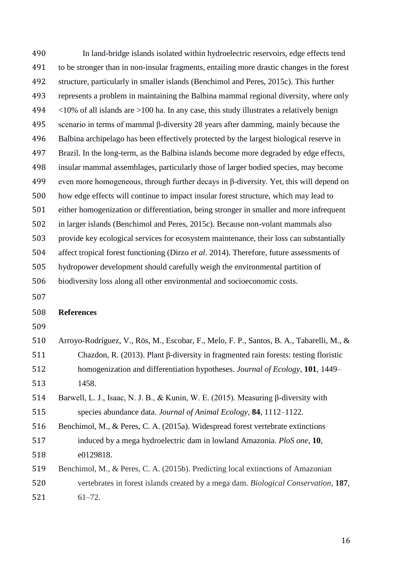In land-bridge islands isolated within hydroelectric reservoirs, edge effects tend to be stronger than in non-insular fragments, entailing more drastic changes in the forest structure, particularly in smaller islands (Benchimol and Peres, 2015c). This further represents a problem in maintaining the Balbina mammal regional diversity, where only  $\leq$  10% of all islands are >100 ha. In any case, this study illustrates a relatively benign scenario in terms of mammal β-diversity 28 years after damming, mainly because the Balbina archipelago has been effectively protected by the largest biological reserve in Brazil. In the long-term, as the Balbina islands become more degraded by edge effects, insular mammal assemblages, particularly those of larger bodied species, may become even more homogeneous, through further decays in β-diversity. Yet, this will depend on how edge effects will continue to impact insular forest structure, which may lead to either homogenization or differentiation, being stronger in smaller and more infrequent in larger islands (Benchimol and Peres, 2015c). Because non-volant mammals also provide key ecological services for ecosystem maintenance, their loss can substantially affect tropical forest functioning (Dirzo *et al*. 2014). Therefore, future assessments of hydropower development should carefully weigh the environmental partition of biodiversity loss along all other environmental and socioeconomic costs. **References**  Arroyo-Rodríguez, V., Rös, M., Escobar, F., Melo, F. P., Santos, B. A., Tabarelli, M., & Chazdon, R. (2013). Plant β-diversity in fragmented rain forests: testing floristic homogenization and differentiation hypotheses. *Journal of Ecology*, **101**, 1449–

- 1458.
- Barwell, L. J., Isaac, N. J. B., & Kunin, W. E. (2015). Measuring β-diversity with species abundance data. *Journal of Animal Ecology*, **84**, 1112–1122.
- Benchimol, M., & Peres, C. A. (2015a). Widespread forest vertebrate extinctions induced by a mega hydroelectric dam in lowland Amazonia. *PloS one*, **10**, e0129818.
- Benchimol, M., & Peres, C. A. (2015b). Predicting local extinctions of Amazonian vertebrates in forest islands created by a mega dam. *Biological Conservation*, **187**, 61–72.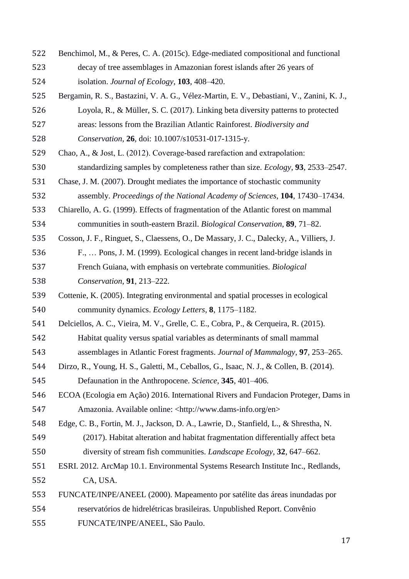- Benchimol, M., & Peres, C. A. (2015c). Edge-mediated compositional and functional decay of tree assemblages in Amazonian forest islands after 26 years of isolation. *Journal of Ecology*, **103**, 408–420.
- Bergamin, R. S., Bastazini, V. A. G., Vélez-Martin, E. V., Debastiani, V., Zanini, K. J., Loyola, R., & Müller, S. C. (2017). Linking beta diversity patterns to protected areas: lessons from the Brazilian Atlantic Rainforest. *Biodiversity and*
- *Conservation*, **26**, doi: 10.1007/s10531-017-1315-y.
- 529 Chao, A., & Jost, L. (2012). Coverage-based rarefaction and extrapolation:
- standardizing samples by completeness rather than size. *Ecology*, **93**, 2533–2547.
- Chase, J. M. (2007). Drought mediates the importance of stochastic community
- assembly. *Proceedings of the National Academy of Sciences*, **104**, 17430–17434.
- Chiarello, A. G. (1999). Effects of fragmentation of the Atlantic forest on mammal communities in south-eastern Brazil. *Biological Conservation*, **89**, 71–82.
- Cosson, J. F., Ringuet, S., Claessens, O., De Massary, J. C., Dalecky, A., Villiers, J.
- F., … Pons, J. M. (1999). Ecological changes in recent land-bridge islands in French Guiana, with emphasis on vertebrate communities. *Biological Conservation*, **91**, 213–222.
- Cottenie, K. (2005). Integrating environmental and spatial processes in ecological community dynamics. *Ecology Letters*, **8**, 1175–1182.
- Delciellos, A. C., Vieira, M. V., Grelle, C. E., Cobra, P., & Cerqueira, R. (2015). Habitat quality versus spatial variables as determinants of small mammal
- assemblages in Atlantic Forest fragments. *Journal of Mammalogy*, **97**, 253–265.
- Dirzo, R., Young, H. S., Galetti, M., Ceballos, G., Isaac, N. J., & Collen, B. (2014). Defaunation in the Anthropocene. *Science*, **345**, 401–406.
- ECOA (Ecologia em Ação) 2016. International Rivers and Fundacion Proteger, Dams in Amazonia. Available online: <http://www.dams-info.org/en>
- Edge, C. B., Fortin, M. J., Jackson, D. A., Lawrie, D., Stanfield, L., & Shrestha, N. (2017). Habitat alteration and habitat fragmentation differentially affect beta diversity of stream fish communities. *Landscape Ecology*, **32**, 647–662.
- ESRI. 2012. ArcMap 10.1. Environmental Systems Research Institute Inc., Redlands, CA, USA.
- FUNCATE/INPE/ANEEL (2000). Mapeamento por satélite das áreas inundadas por reservatórios de hidrelétricas brasileiras. Unpublished Report. Convênio FUNCATE/INPE/ANEEL, São Paulo.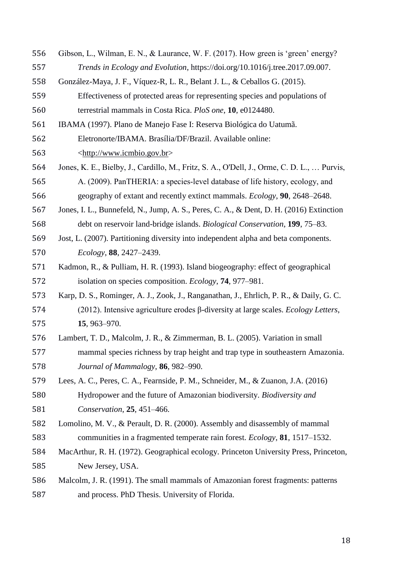- Gibson, L., Wilman, E. N., & Laurance, W. F. (2017). How green is 'green' energy? *Trends in Ecology and Evolution*, https://doi.org/10.1016/j.tree.2017.09.007.
- González-Maya, J. F., Víquez-R, L. R., Belant J. L., & Ceballos G. (2015).
- Effectiveness of protected areas for representing species and populations of terrestrial mammals in Costa Rica. *PloS one*, **10**, e0124480.
- IBAMA (1997). Plano de Manejo Fase I: Reserva Biológica do Uatumã.
- Eletronorte/IBAMA. Brasília/DF/Brazil. Available online:
- [<http://www.icmbio.gov.br>](http://www.icmbio.gov.br/portal/images/stories/docs-planos-de-manejo/rebio_uatuma_pm.pdf)
- Jones, K. E., Bielby, J., Cardillo, M., Fritz, S. A., O'Dell, J., Orme, C. D. L., … Purvis, A. (2009). PanTHERIA: a species‐level database of life history, ecology, and geography of extant and recently extinct mammals. *Ecology*, **90**, 2648–2648.
- Jones, I. L., Bunnefeld, N., Jump, A. S., Peres, C. A., & Dent, D. H. (2016) Extinction debt on reservoir land-bridge islands. *Biological Conservation*, **199**, 75–83.
- Jost, L. (2007). Partitioning diversity into independent alpha and beta components. *Ecology*, **88**, 2427–2439.
- Kadmon, R., & Pulliam, H. R. (1993). Island biogeography: effect of geographical isolation on species composition. *Ecology*, **74**, 977–981.
- Karp, D. S., Rominger, A. J., Zook, J., Ranganathan, J., Ehrlich, P. R., & Daily, G. C. (2012). Intensive agriculture erodes β-diversity at large scales. *Ecology Letters*, **15**, 963–970.
- Lambert, T. D., Malcolm, J. R., & Zimmerman, B. L. (2005). Variation in small mammal species richness by trap height and trap type in southeastern Amazonia. *Journal of Mammalogy*, **86**, 982–990.
- Lees, A. C., Peres, C. A., Fearnside, P. M., Schneider, M., & Zuanon, J.A. (2016) Hydropower and the future of Amazonian biodiversity. *Biodiversity and*
- *Conservation*, **25**, 451–466.
- Lomolino, M. V., & Perault, D. R. (2000). Assembly and disassembly of mammal communities in a fragmented temperate rain forest. *Ecology*, **81**, 1517–1532.
- MacArthur, R. H. (1972). Geographical ecology. Princeton University Press, Princeton, New Jersey, USA.
- Malcolm, J. R. (1991). The small mammals of Amazonian forest fragments: patterns and process. PhD Thesis. University of Florida.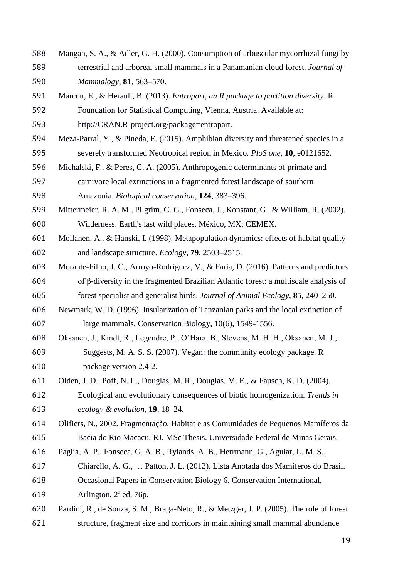- Mangan, S. A., & Adler, G. H. (2000). Consumption of arbuscular mycorrhizal fungi by terrestrial and arboreal small mammals in a Panamanian cloud forest. *Journal of Mammalogy*, **81**, 563–570.
- Marcon, E., & Herault, B. (2013). *Entropart, an R package to partition diversity*. R Foundation for Statistical Computing, Vienna, Austria. Available at:

http://CRAN.R-project.org/package=entropart.

- Meza-Parral, Y., & Pineda, E. (2015). Amphibian diversity and threatened species in a severely transformed Neotropical region in Mexico. *PloS one*, **10**, e0121652.
- Michalski, F., & Peres, C. A. (2005). Anthropogenic determinants of primate and carnivore local extinctions in a fragmented forest landscape of southern

Amazonia. *Biological conservation*, **124**, 383–396.

- Mittermeier, R. A. M., Pilgrim, C. G., Fonseca, J., Konstant, G., & William, R. (2002). Wilderness: Earth's last wild places. México, MX: CEMEX.
- Moilanen, A., & Hanski, I. (1998). Metapopulation dynamics: effects of habitat quality and landscape structure. *Ecology*, **79**, 2503–2515.
- Morante-Filho, J. C., Arroyo-Rodríguez, V., & Faria, D. (2016). Patterns and predictors of β-diversity in the fragmented Brazilian Atlantic forest: a multiscale analysis of forest specialist and generalist birds. *Journal of Animal Ecology*, **85**, 240–250.
- Newmark, W. D. (1996). Insularization of Tanzanian parks and the local extinction of large mammals. Conservation Biology, 10(6), 1549-1556.
- Oksanen, J., Kindt, R., Legendre, P., O'Hara, B., Stevens, M. H. H., Oksanen, M. J., Suggests, M. A. S. S. (2007). Vegan: the community ecology package. R package version 2.4-2.
- Olden, J. D., Poff, N. L., Douglas, M. R., Douglas, M. E., & Fausch, K. D. (2004).

 Ecological and evolutionary consequences of biotic homogenization. *Trends in ecology & evolution*, **19**, 18–24.

- Olifiers, N., 2002. Fragmentação, Habitat e as Comunidades de Pequenos Mamíferos da Bacia do Rio Macacu, RJ. MSc Thesis. Universidade Federal de Minas Gerais.
- Paglia, A. P., Fonseca, G. A. B., Rylands, A. B., Herrmann, G., Aguiar, L. M. S.,
- Chiarello, A. G., … Patton, J. L. (2012). Lista Anotada dos Mamíferos do Brasil.
- Occasional Papers in Conservation Biology 6. Conservation International,

Arlington, 2ª ed. 76p.

 Pardini, R., de Souza, S. M., Braga-Neto, R., & Metzger, J. P. (2005). The role of forest structure, fragment size and corridors in maintaining small mammal abundance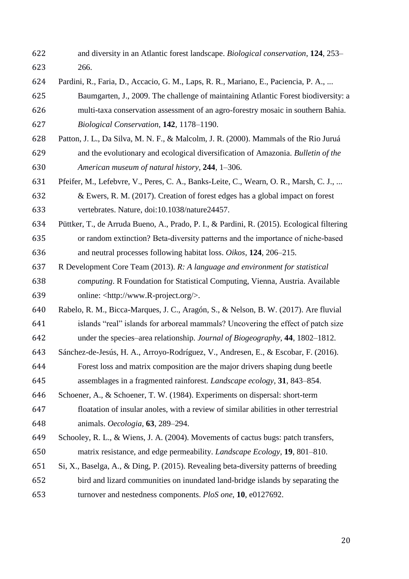- and diversity in an Atlantic forest landscape. *Biological conservation*, **124**, 253– 266.
- Pardini, R., Faria, D., Accacio, G. M., Laps, R. R., Mariano, E., Paciencia, P. A., ...
- Baumgarten, J., 2009. The challenge of maintaining Atlantic Forest biodiversity: a multi-taxa conservation assessment of an agro-forestry mosaic in southern Bahia. *Biological Conservation*, **142**, 1178–1190.
- Patton, J. L., Da Silva, M. N. F., & Malcolm, J. R. (2000). Mammals of the Rio Juruá and the evolutionary and ecological diversification of Amazonia. *Bulletin of the American museum of natural history*, **244**, 1–306.
- Pfeifer, M., Lefebvre, V., Peres, C. A., Banks-Leite, C., Wearn, O. R., Marsh, C. J., ... & Ewers, R. M. (2017). Creation of forest edges has a global impact on forest vertebrates. Nature, doi:10.1038/nature24457.
- Püttker, T., de Arruda Bueno, A., Prado, P. I., & Pardini, R. (2015). Ecological filtering or random extinction? Beta‐diversity patterns and the importance of niche‐based and neutral processes following habitat loss. *Oikos*, **124**, 206–215.
- R Development Core Team (2013). *R: A language and environment for statistical computing*. R Foundation for Statistical Computing, Vienna, Austria. Available online: <http://www.R-project.org/>.
- Rabelo, R. M., Bicca-Marques, J. C., Aragón, S., & Nelson, B. W. (2017). Are fluvial islands "real" islands for arboreal mammals? Uncovering the effect of patch size under the species–area relationship. *Journal of Biogeography*, **44**, 1802–1812.
- Sánchez-de-Jesús, H. A., Arroyo-Rodríguez, V., Andresen, E., & Escobar, F. (2016).
- Forest loss and matrix composition are the major drivers shaping dung beetle assemblages in a fragmented rainforest. *Landscape ecology*, **31**, 843–854.
- Schoener, A., & Schoener, T. W. (1984). Experiments on dispersal: short-term
- floatation of insular anoles, with a review of similar abilities in other terrestrial animals. *Oecologia*, **63**, 289–294.
- Schooley, R. L., & Wiens, J. A. (2004). Movements of cactus bugs: patch transfers, matrix resistance, and edge permeability. *Landscape Ecology*, **19**, 801–810.
- Si, X., Baselga, A., & Ding, P. (2015). Revealing beta-diversity patterns of breeding bird and lizard communities on inundated land-bridge islands by separating the turnover and nestedness components. *PloS one*, **10**, e0127692.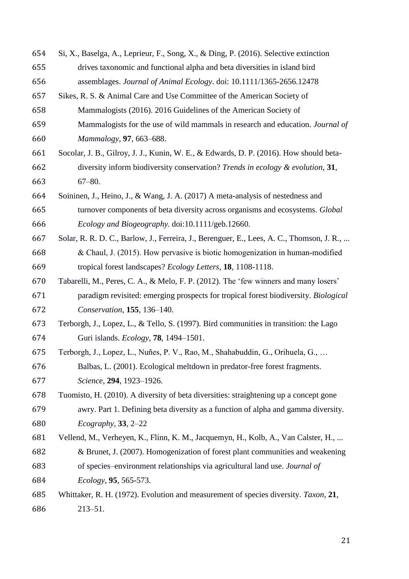| 654 | Si, X., Baselga, A., Leprieur, F., Song, X., & Ding, P. (2016). Selective extinction      |  |  |  |
|-----|-------------------------------------------------------------------------------------------|--|--|--|
| 655 | drives taxonomic and functional alpha and beta diversities in island bird                 |  |  |  |
| 656 | assemblages. Journal of Animal Ecology. doi: 10.1111/1365-2656.12478                      |  |  |  |
| 657 | Sikes, R. S. & Animal Care and Use Committee of the American Society of                   |  |  |  |
| 658 | Mammalogists (2016). 2016 Guidelines of the American Society of                           |  |  |  |
| 659 | Mammalogists for the use of wild mammals in research and education. Journal of            |  |  |  |
| 660 | Mammalogy, 97, 663-688.                                                                   |  |  |  |
| 661 | Socolar, J. B., Gilroy, J. J., Kunin, W. E., & Edwards, D. P. (2016). How should beta-    |  |  |  |
| 662 | diversity inform biodiversity conservation? Trends in ecology & evolution, 31,            |  |  |  |
| 663 | $67 - 80.$                                                                                |  |  |  |
| 664 | Soininen, J., Heino, J., & Wang, J. A. (2017) A meta-analysis of nestedness and           |  |  |  |
| 665 | turnover components of beta diversity across organisms and ecosystems. Global             |  |  |  |
| 666 | Ecology and Biogeography. doi:10.1111/geb.12660.                                          |  |  |  |
| 667 | Solar, R. R. D. C., Barlow, J., Ferreira, J., Berenguer, E., Lees, A. C., Thomson, J. R., |  |  |  |
| 668 | & Chaul, J. (2015). How pervasive is biotic homogenization in human-modified              |  |  |  |
| 669 | tropical forest landscapes? <i>Ecology Letters</i> , <b>18</b> , 1108-1118.               |  |  |  |
| 670 | Tabarelli, M., Peres, C. A., & Melo, F. P. (2012). The 'few winners and many losers'      |  |  |  |
| 671 | paradigm revisited: emerging prospects for tropical forest biodiversity. Biological       |  |  |  |
| 672 | Conservation, 155, 136-140.                                                               |  |  |  |
| 673 | Terborgh, J., Lopez, L., & Tello, S. (1997). Bird communities in transition: the Lago     |  |  |  |
| 674 | Guri islands. <i>Ecology</i> , <b>78</b> , 1494–1501.                                     |  |  |  |
| 675 | Terborgh, J., Lopez, L., Nuñes, P. V., Rao, M., Shahabuddin, G., Orihuela, G.,            |  |  |  |
| 676 | Balbas, L. (2001). Ecological meltdown in predator-free forest fragments.                 |  |  |  |
| 677 | Science, 294, 1923-1926.                                                                  |  |  |  |
| 678 | Tuomisto, H. (2010). A diversity of beta diversities: straightening up a concept gone     |  |  |  |
| 679 | awry. Part 1. Defining beta diversity as a function of alpha and gamma diversity.         |  |  |  |
| 680 | $Ecography, 33, 2-22$                                                                     |  |  |  |
| 681 | Vellend, M., Verheyen, K., Flinn, K. M., Jacquemyn, H., Kolb, A., Van Calster, H.,        |  |  |  |
| 682 | & Brunet, J. (2007). Homogenization of forest plant communities and weakening             |  |  |  |
| 683 | of species-environment relationships via agricultural land use. Journal of                |  |  |  |
| 684 | Ecology, 95, 565-573.                                                                     |  |  |  |
| 685 | Whittaker, R. H. (1972). Evolution and measurement of species diversity. Taxon, 21,       |  |  |  |
| 686 | $213 - 51.$                                                                               |  |  |  |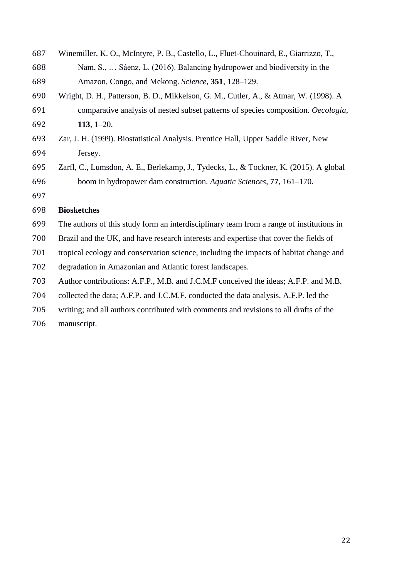| 687 | Winemiller, K. O., McIntyre, P. B., Castello, L., Fluet-Chouinard, E., Giarrizzo, T.,    |  |  |  |
|-----|------------------------------------------------------------------------------------------|--|--|--|
| 688 | Nam, S.,  Sáenz, L. (2016). Balancing hydropower and biodiversity in the                 |  |  |  |
| 689 | Amazon, Congo, and Mekong. Science, 351, 128-129.                                        |  |  |  |
| 690 | Wright, D. H., Patterson, B. D., Mikkelson, G. M., Cutler, A., & Atmar, W. (1998). A     |  |  |  |
| 691 | comparative analysis of nested subset patterns of species composition. Oecologia,        |  |  |  |
| 692 | 113, $1-20$ .                                                                            |  |  |  |
| 693 | Zar, J. H. (1999). Biostatistical Analysis. Prentice Hall, Upper Saddle River, New       |  |  |  |
| 694 | Jersey.                                                                                  |  |  |  |
| 695 | Zarfl, C., Lumsdon, A. E., Berlekamp, J., Tydecks, L., & Tockner, K. (2015). A global    |  |  |  |
| 696 | boom in hydropower dam construction. Aquatic Sciences, 77, 161–170.                      |  |  |  |
| 697 |                                                                                          |  |  |  |
| 698 | <b>Biosketches</b>                                                                       |  |  |  |
| 699 | The authors of this study form an interdisciplinary team from a range of institutions in |  |  |  |
| 700 | Brazil and the UK, and have research interests and expertise that cover the fields of    |  |  |  |
| 701 | tropical ecology and conservation science, including the impacts of habitat change and   |  |  |  |
| 702 | degradation in Amazonian and Atlantic forest landscapes.                                 |  |  |  |
| 703 | Author contributions: A.F.P., M.B. and J.C.M.F conceived the ideas; A.F.P. and M.B.      |  |  |  |
| 704 | collected the data; A.F.P. and J.C.M.F. conducted the data analysis, A.F.P. led the      |  |  |  |
| 705 | writing; and all authors contributed with comments and revisions to all drafts of the    |  |  |  |
|     |                                                                                          |  |  |  |

manuscript.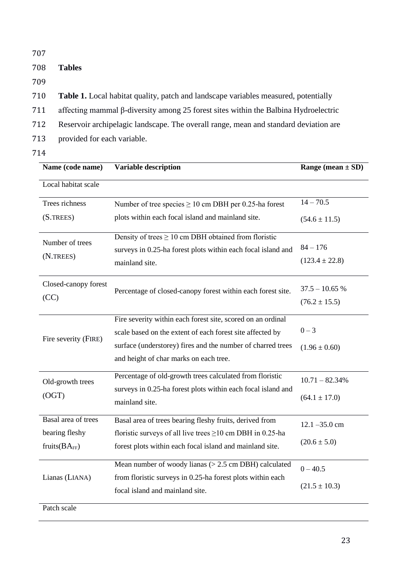| 707 |                                                                                            |  |  |  |
|-----|--------------------------------------------------------------------------------------------|--|--|--|
| 708 | <b>Tables</b>                                                                              |  |  |  |
| 709 |                                                                                            |  |  |  |
| 710 | <b>Table 1.</b> Local habitat quality, patch and landscape variables measured, potentially |  |  |  |
| 711 | affecting mammal $\beta$ -diversity among 25 forest sites within the Balbina Hydroelectric |  |  |  |
| 712 | Reservoir archipelagic landscape. The overall range, mean and standard deviation are       |  |  |  |
| 713 | provided for each variable.                                                                |  |  |  |
| 714 |                                                                                            |  |  |  |
|     | <b>Variable description</b><br>Name (code name)<br>Range (mean $\pm$ SD)                   |  |  |  |

| Local habitat scale  |                                                                 |                    |
|----------------------|-----------------------------------------------------------------|--------------------|
| Trees richness       | Number of tree species $\geq 10$ cm DBH per 0.25-ha forest      | $14 - 70.5$        |
| (S. TREES)           | plots within each focal island and mainland site.               | $(54.6 \pm 11.5)$  |
| Number of trees      | Density of trees $\geq 10$ cm DBH obtained from floristic       |                    |
| (N.TREES)            | surveys in 0.25-ha forest plots within each focal island and    | $84 - 176$         |
|                      | mainland site.                                                  | $(123.4 \pm 22.8)$ |
| Closed-canopy forest |                                                                 | $37.5 - 10.65$ %   |
| (CC)                 | Percentage of closed-canopy forest within each forest site.     | $(76.2 \pm 15.5)$  |
|                      |                                                                 |                    |
|                      | Fire severity within each forest site, scored on an ordinal     |                    |
|                      | scale based on the extent of each forest site affected by       | $0 - 3$            |
| Fire severity (FIRE) | surface (understorey) fires and the number of charred trees     | $(1.96 \pm 0.60)$  |
|                      | and height of char marks on each tree.                          |                    |
| Old-growth trees     | Percentage of old-growth trees calculated from floristic        | $10.71 - 82.34%$   |
| (OGT)                | surveys in 0.25-ha forest plots within each focal island and    |                    |
|                      | mainland site.                                                  | $(64.1 \pm 17.0)$  |
| Basal area of trees  | Basal area of trees bearing fleshy fruits, derived from         | $12.1 - 35.0$ cm   |
| bearing fleshy       | floristic surveys of all live trees $\geq$ 10 cm DBH in 0.25-ha |                    |
| fruits $(BA_{FF})$   | forest plots within each focal island and mainland site.        | $(20.6 \pm 5.0)$   |
|                      | Mean number of woody lianas $(>2.5$ cm DBH) calculated          | $0 - 40.5$         |
| Lianas (LIANA)       | from floristic surveys in 0.25-ha forest plots within each      |                    |
|                      | focal island and mainland site.                                 | $(21.5 \pm 10.3)$  |
| Patch scale          |                                                                 |                    |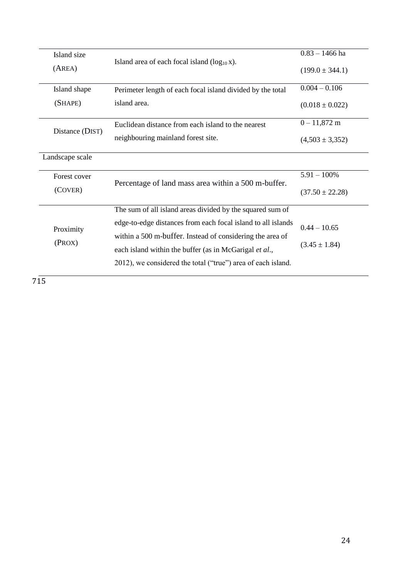| Island size<br>(AREA) | Island area of each focal island $(log_{10} x)$ .                                                                      | $0.83 - 1466$ ha<br>$(199.0 \pm 344.1)$ |
|-----------------------|------------------------------------------------------------------------------------------------------------------------|-----------------------------------------|
| Island shape          | Perimeter length of each focal island divided by the total                                                             | $0.004 - 0.106$                         |
|                       | (SHAPE)<br>island area.                                                                                                |                                         |
| Distance (DIST)       | Euclidean distance from each island to the nearest                                                                     | $0 - 11,872$ m                          |
|                       | neighbouring mainland forest site.                                                                                     | $(4,503 \pm 3,352)$                     |
| Landscape scale       |                                                                                                                        |                                         |
| Forest cover          | Percentage of land mass area within a 500 m-buffer.                                                                    | $5.91 - 100\%$                          |
| (COVER)               |                                                                                                                        | $(37.50 \pm 22.28)$                     |
|                       | The sum of all island areas divided by the squared sum of                                                              |                                         |
| Proximity             | edge-to-edge distances from each focal island to all islands                                                           | $0.44 - 10.65$                          |
| (PROX)                | within a 500 m-buffer. Instead of considering the area of                                                              | $(3.45 \pm 1.84)$                       |
|                       | each island within the buffer (as in McGarigal et al.,<br>2012), we considered the total ("true") area of each island. |                                         |
|                       |                                                                                                                        |                                         |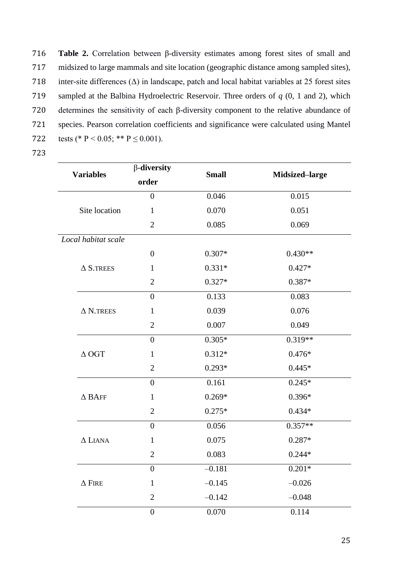**Table 2.** Correlation between β-diversity estimates among forest sites of small and midsized to large mammals and site location (geographic distance among sampled sites), 718 inter-site differences  $(\Delta)$  in landscape, patch and local habitat variables at 25 forest sites sampled at the Balbina Hydroelectric Reservoir. Three orders of *q* (0, 1 and 2), which determines the sensitivity of each β-diversity component to the relative abundance of species. Pearson correlation coefficients and significance were calculated using Mantel 722 tests (\* P < 0.05; \*\* P  $\leq$  0.001).

|                     | $\beta$ -diversity | <b>Small</b> | Midsized-large |
|---------------------|--------------------|--------------|----------------|
| <b>Variables</b>    | order              |              |                |
|                     | $\overline{0}$     | 0.046        | 0.015          |
| Site location       | $\mathbf{1}$       | 0.070        | 0.051          |
|                     | $\overline{2}$     | 0.085        | 0.069          |
| Local habitat scale |                    |              |                |
|                     | $\boldsymbol{0}$   | $0.307*$     | $0.430**$      |
| $\Delta$ S.TREES    | $\mathbf{1}$       | $0.331*$     | $0.427*$       |
|                     | $\mathbf{2}$       | $0.327*$     | $0.387*$       |
|                     | $\overline{0}$     | 0.133        | 0.083          |
| $\Delta$ N.TREES    | $\mathbf{1}$       | 0.039        | 0.076          |
|                     | $\overline{2}$     | 0.007        | 0.049          |
|                     | $\overline{0}$     | $0.305*$     | $0.319**$      |
| $\triangle$ OGT     | $\mathbf{1}$       | $0.312*$     | $0.476*$       |
|                     | $\overline{2}$     | $0.293*$     | $0.445*$       |
|                     | $\overline{0}$     | 0.161        | $0.245*$       |
| $\Delta$ BAFF       | $\mathbf{1}$       | $0.269*$     | $0.396*$       |
|                     | $\overline{2}$     | $0.275*$     | $0.434*$       |
|                     | $\overline{0}$     | 0.056        | $0.357**$      |
| $\Delta$ LIANA      | $\mathbf{1}$       | 0.075        | $0.287*$       |
|                     | $\overline{2}$     | 0.083        | $0.244*$       |
|                     | $\boldsymbol{0}$   | $-0.181$     | $0.201*$       |
| $\Delta$ FIRE       | $\mathbf{1}$       | $-0.145$     | $-0.026$       |
|                     | $\overline{2}$     | $-0.142$     | $-0.048$       |
|                     | $\boldsymbol{0}$   | 0.070        | 0.114          |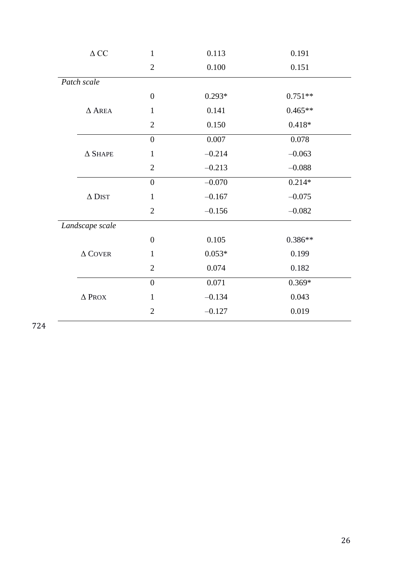|                 | $\Delta$ CC    | $\mathbf{1}$     | 0.113    | 0.191     |
|-----------------|----------------|------------------|----------|-----------|
|                 |                | $\overline{2}$   | 0.100    | 0.151     |
|                 | Patch scale    |                  |          |           |
|                 |                | $\boldsymbol{0}$ | $0.293*$ | $0.751**$ |
|                 | $\Delta$ AREA  | $\mathbf{1}$     | 0.141    | $0.465**$ |
|                 |                | $\overline{2}$   | 0.150    | $0.418*$  |
|                 |                | $\overline{0}$   | 0.007    | 0.078     |
|                 | $\Delta$ SHAPE | $\mathbf{1}$     | $-0.214$ | $-0.063$  |
|                 |                | $\mathbf{2}$     | $-0.213$ | $-0.088$  |
|                 |                | $\boldsymbol{0}$ | $-0.070$ | $0.214*$  |
|                 | $\Delta$ DIST  | $\mathbf{1}$     | $-0.167$ | $-0.075$  |
|                 |                | $\overline{2}$   | $-0.156$ | $-0.082$  |
| Landscape scale |                |                  |          |           |
|                 |                | $\overline{0}$   | 0.105    | $0.386**$ |
|                 | $\Delta$ COVER | $\mathbf{1}$     | $0.053*$ | 0.199     |
|                 |                | $\overline{2}$   | 0.074    | 0.182     |
|                 |                | $\overline{0}$   | 0.071    | $0.369*$  |
|                 | $\Delta$ Prox  | $\mathbf{1}$     | $-0.134$ | 0.043     |
|                 |                | $\mathfrak{2}$   | $-0.127$ | 0.019     |
|                 |                |                  |          |           |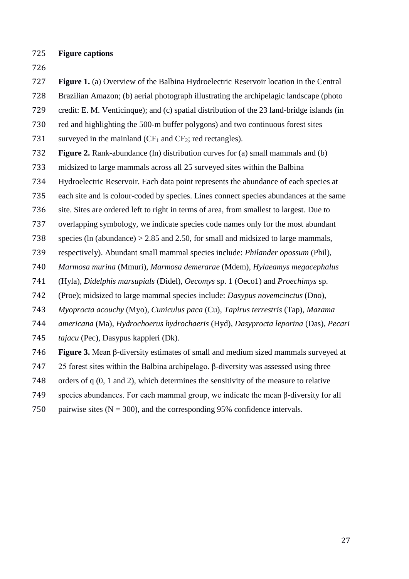- **Figure captions**
- 

**Figure 1.** (a) Overview of the Balbina Hydroelectric Reservoir location in the Central

Brazilian Amazon; (b) aerial photograph illustrating the archipelagic landscape (photo

credit: E. M. Venticinque); and (c) spatial distribution of the 23 land-bridge islands (in

red and highlighting the 500-m buffer polygons) and two continuous forest sites

731 surveyed in the mainland  $(CF_1$  and  $CF_2$ ; red rectangles).

- **Figure 2.** Rank-abundance (ln) distribution curves for (a) small mammals and (b)
- midsized to large mammals across all 25 surveyed sites within the Balbina

Hydroelectric Reservoir. Each data point represents the abundance of each species at

each site and is colour-coded by species. Lines connect species abundances at the same

site. Sites are ordered left to right in terms of area, from smallest to largest. Due to

overlapping symbology, we indicate species code names only for the most abundant

species (ln (abundance) > 2.85 and 2.50, for small and midsized to large mammals,

respectively). Abundant small mammal species include: *Philander opossum* (Phil),

*Marmosa murina* (Mmuri), *Marmosa demerarae* (Mdem), *Hylaeamys megacephalus*

(Hyla), *Didelphis marsupials* (Didel), *Oecomys* sp. 1 (Oeco1) and *Proechimys* sp.

(Proe); midsized to large mammal species include: *Dasypus novemcinctus* (Dno),

*Myoprocta acouchy* (Myo), *Cuniculus paca* (Cu), *Tapirus terrestris* (Tap), *Mazama* 

*americana* (Ma), *Hydrochoerus hydrochaeris* (Hyd), *Dasyprocta leporina* (Das), *Pecari* 

*tajacu* (Pec), Dasypus kappleri (Dk).

**Figure 3.** Mean β-diversity estimates of small and medium sized mammals surveyed at

25 forest sites within the Balbina archipelago. β-diversity was assessed using three

orders of q (0, 1 and 2), which determines the sensitivity of the measure to relative

species abundances. For each mammal group, we indicate the mean β-diversity for all

750 pairwise sites  $(N = 300)$ , and the corresponding 95% confidence intervals.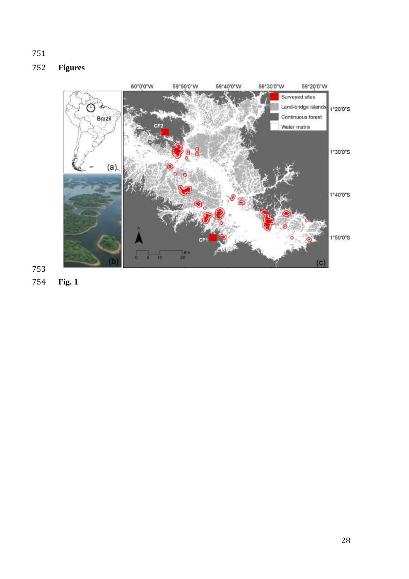# **Figures**



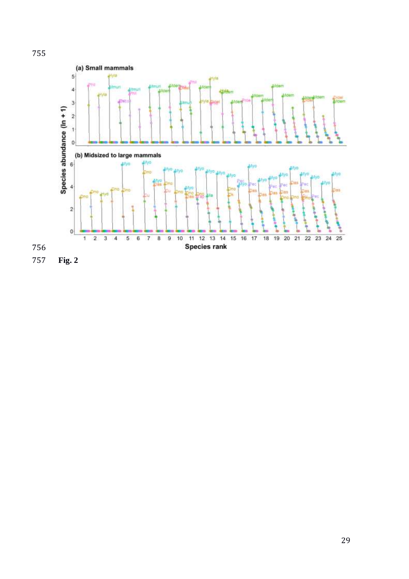